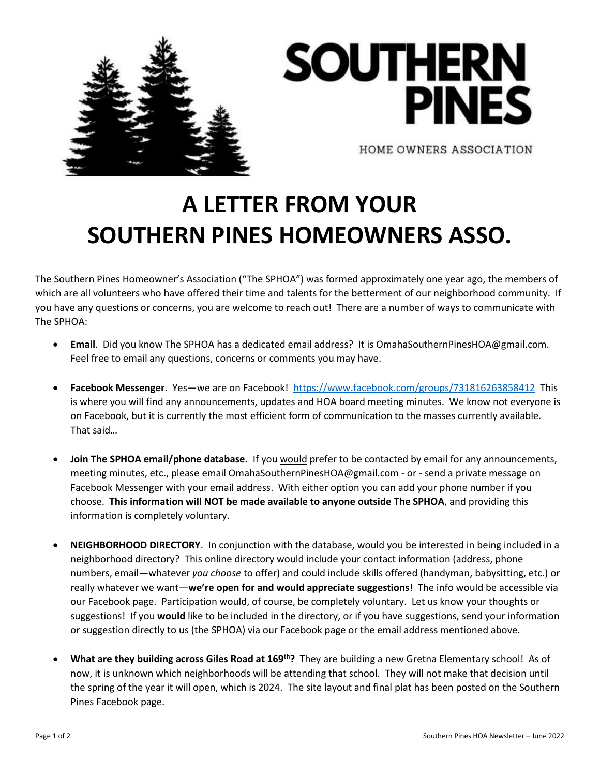



HOME OWNERS ASSOCIATION

## **A LETTER FROM YOUR SOUTHERN PINES HOMEOWNERS ASSO.**

The Southern Pines Homeowner's Association ("The SPHOA") was formed approximately one year ago, the members of which are all volunteers who have offered their time and talents for the betterment of our neighborhood community. If you have any questions or concerns, you are welcome to reach out! There are a number of ways to communicate with The SPHOA:

- **Email**. Did you know The SPHOA has a dedicated email address? It is OmahaSouthernPinesHOA@gmail.com. Feel free to email any questions, concerns or comments you may have.
- **Facebook Messenger**. Yes—we are on Facebook! <https://www.facebook.com/groups/731816263858412>This is where you will find any announcements, updates and HOA board meeting minutes. We know not everyone is on Facebook, but it is currently the most efficient form of communication to the masses currently available. That said…
- **Join The SPHOA email/phone database.** If you would prefer to be contacted by email for any announcements, meeting minutes, etc., please email OmahaSouthernPinesHOA@gmail.com - or - send a private message on Facebook Messenger with your email address. With either option you can add your phone number if you choose. **This information will NOT be made available to anyone outside The SPHOA**, and providing this information is completely voluntary.
- **NEIGHBORHOOD DIRECTORY**. In conjunction with the database, would you be interested in being included in a neighborhood directory? This online directory would include your contact information (address, phone numbers, email—whatever *you choose* to offer) and could include skills offered (handyman, babysitting, etc.) or really whatever we want—**we're open for and would appreciate suggestions**! The info would be accessible via our Facebook page. Participation would, of course, be completely voluntary. Let us know your thoughts or suggestions! If you **would** like to be included in the directory, or if you have suggestions, send your information or suggestion directly to us (the SPHOA) via our Facebook page or the email address mentioned above.
- **What are they building across Giles Road at 169th?** They are building a new Gretna Elementary school! As of now, it is unknown which neighborhoods will be attending that school. They will not make that decision until the spring of the year it will open, which is 2024. The site layout and final plat has been posted on the Southern Pines Facebook page.